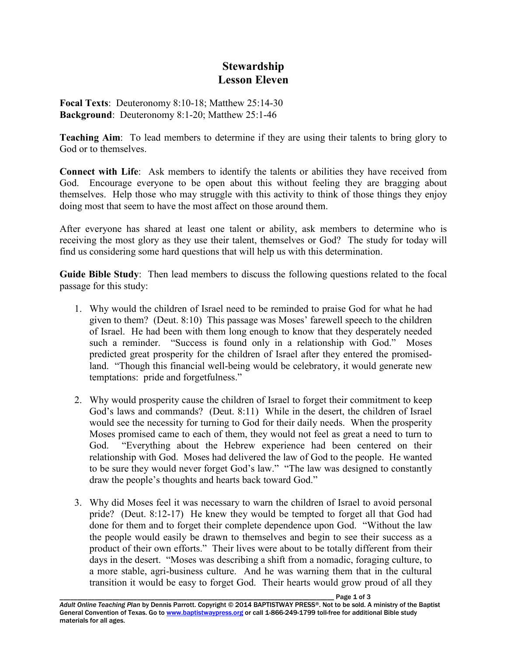## **Stewardship Lesson Eleven**

**Focal Texts**: Deuteronomy 8:10-18; Matthew 25:14-30 **Background**: Deuteronomy 8:1-20; Matthew 25:1-46

**Teaching Aim**: To lead members to determine if they are using their talents to bring glory to God or to themselves.

**Connect with Life**: Ask members to identify the talents or abilities they have received from God. Encourage everyone to be open about this without feeling they are bragging about themselves. Help those who may struggle with this activity to think of those things they enjoy doing most that seem to have the most affect on those around them.

After everyone has shared at least one talent or ability, ask members to determine who is receiving the most glory as they use their talent, themselves or God? The study for today will find us considering some hard questions that will help us with this determination.

**Guide Bible Study**: Then lead members to discuss the following questions related to the focal passage for this study:

- 1. Why would the children of Israel need to be reminded to praise God for what he had given to them? (Deut. 8:10) This passage was Moses' farewell speech to the children of Israel. He had been with them long enough to know that they desperately needed such a reminder. "Success is found only in a relationship with God." Moses predicted great prosperity for the children of Israel after they entered the promisedland. "Though this financial well-being would be celebratory, it would generate new temptations: pride and forgetfulness."
- 2. Why would prosperity cause the children of Israel to forget their commitment to keep God's laws and commands? (Deut. 8:11) While in the desert, the children of Israel would see the necessity for turning to God for their daily needs. When the prosperity Moses promised came to each of them, they would not feel as great a need to turn to God. "Everything about the Hebrew experience had been centered on their relationship with God. Moses had delivered the law of God to the people. He wanted to be sure they would never forget God's law." "The law was designed to constantly draw the people's thoughts and hearts back toward God."
- 3. Why did Moses feel it was necessary to warn the children of Israel to avoid personal pride? (Deut. 8:12-17) He knew they would be tempted to forget all that God had done for them and to forget their complete dependence upon God. "Without the law the people would easily be drawn to themselves and begin to see their success as a product of their own efforts." Their lives were about to be totally different from their days in the desert. "Moses was describing a shift from a nomadic, foraging culture, to a more stable, agri-business culture. And he was warning them that in the cultural transition it would be easy to forget God. Their hearts would grow proud of all they

Page 1 of 3 *Adult Online Teaching Plan* by Dennis Parrott. Copyright © 2014 BAPTISTWAY PRESS®. Not to be sold. A ministry of the Baptist General Convention of Texas. Go to www.baptistwaypress.org or call 1-866-249-1799 toll-free for additional Bible study materials for all ages.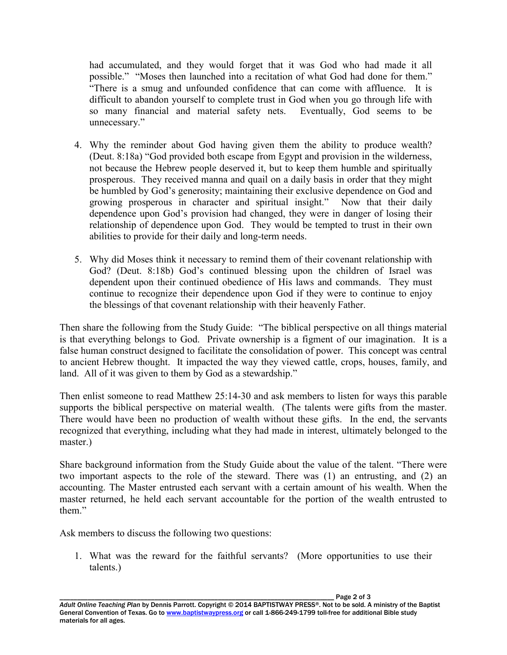had accumulated, and they would forget that it was God who had made it all possible." "Moses then launched into a recitation of what God had done for them." "There is a smug and unfounded confidence that can come with affluence. It is difficult to abandon yourself to complete trust in God when you go through life with so many financial and material safety nets. Eventually, God seems to be unnecessary."

- 4. Why the reminder about God having given them the ability to produce wealth? (Deut. 8:18a) "God provided both escape from Egypt and provision in the wilderness, not because the Hebrew people deserved it, but to keep them humble and spiritually prosperous. They received manna and quail on a daily basis in order that they might be humbled by God's generosity; maintaining their exclusive dependence on God and growing prosperous in character and spiritual insight." Now that their daily dependence upon God's provision had changed, they were in danger of losing their relationship of dependence upon God. They would be tempted to trust in their own abilities to provide for their daily and long-term needs.
- 5. Why did Moses think it necessary to remind them of their covenant relationship with God? (Deut. 8:18b) God's continued blessing upon the children of Israel was dependent upon their continued obedience of His laws and commands. They must continue to recognize their dependence upon God if they were to continue to enjoy the blessings of that covenant relationship with their heavenly Father.

Then share the following from the Study Guide: "The biblical perspective on all things material is that everything belongs to God. Private ownership is a figment of our imagination. It is a false human construct designed to facilitate the consolidation of power. This concept was central to ancient Hebrew thought. It impacted the way they viewed cattle, crops, houses, family, and land. All of it was given to them by God as a stewardship."

Then enlist someone to read Matthew 25:14-30 and ask members to listen for ways this parable supports the biblical perspective on material wealth. (The talents were gifts from the master. There would have been no production of wealth without these gifts. In the end, the servants recognized that everything, including what they had made in interest, ultimately belonged to the master.)

Share background information from the Study Guide about the value of the talent. "There were two important aspects to the role of the steward. There was (1) an entrusting, and (2) an accounting. The Master entrusted each servant with a certain amount of his wealth. When the master returned, he held each servant accountable for the portion of the wealth entrusted to them."

Ask members to discuss the following two questions:

1. What was the reward for the faithful servants? (More opportunities to use their talents.)

*Adult Online Teaching Plan* by Dennis Parrott. Copyright © 2014 BAPTISTWAY PRESS®. Not to be sold. A ministry of the Baptist General Convention of Texas. Go to www.baptistwaypress.org or call 1-866-249-1799 toll-free for additional Bible study materials for all ages.